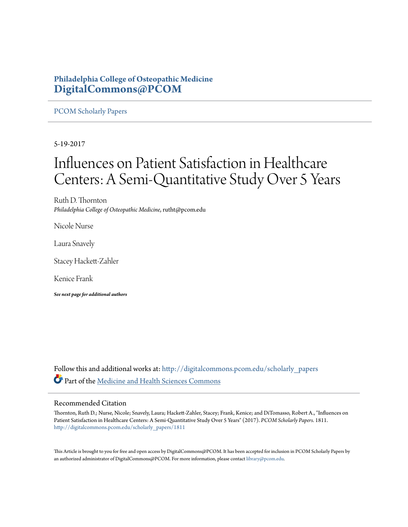# **Philadelphia College of Osteopathic Medicine [DigitalCommons@PCOM](http://digitalcommons.pcom.edu?utm_source=digitalcommons.pcom.edu%2Fscholarly_papers%2F1811&utm_medium=PDF&utm_campaign=PDFCoverPages)**

# [PCOM Scholarly Papers](http://digitalcommons.pcom.edu/scholarly_papers?utm_source=digitalcommons.pcom.edu%2Fscholarly_papers%2F1811&utm_medium=PDF&utm_campaign=PDFCoverPages)

5-19-2017

# Influences on Patient Satisfaction in Healthcare Centers: A Semi-Quantitative Study Over 5 Years

Ruth D. Thornton *Philadelphia College of Osteopathic Medicine*, rutht@pcom.edu

Nicole Nurse

Laura Snavely

Stacey Hackett-Zahler

Kenice Frank

*See next page for additional authors*

Follow this and additional works at: [http://digitalcommons.pcom.edu/scholarly\\_papers](http://digitalcommons.pcom.edu/scholarly_papers?utm_source=digitalcommons.pcom.edu%2Fscholarly_papers%2F1811&utm_medium=PDF&utm_campaign=PDFCoverPages) Part of the [Medicine and Health Sciences Commons](http://network.bepress.com/hgg/discipline/648?utm_source=digitalcommons.pcom.edu%2Fscholarly_papers%2F1811&utm_medium=PDF&utm_campaign=PDFCoverPages)

# Recommended Citation

Thornton, Ruth D.; Nurse, Nicole; Snavely, Laura; Hackett-Zahler, Stacey; Frank, Kenice; and DiTomasso, Robert A., "Influences on Patient Satisfaction in Healthcare Centers: A Semi-Quantitative Study Over 5 Years" (2017). *PCOM Scholarly Papers*. 1811. [http://digitalcommons.pcom.edu/scholarly\\_papers/1811](http://digitalcommons.pcom.edu/scholarly_papers/1811?utm_source=digitalcommons.pcom.edu%2Fscholarly_papers%2F1811&utm_medium=PDF&utm_campaign=PDFCoverPages)

This Article is brought to you for free and open access by DigitalCommons@PCOM. It has been accepted for inclusion in PCOM Scholarly Papers by an authorized administrator of DigitalCommons@PCOM. For more information, please contact [library@pcom.edu.](mailto:library@pcom.edu)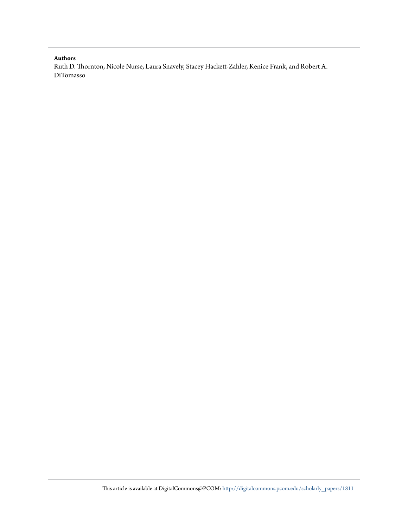## **Authors**

Ruth D. Thornton, Nicole Nurse, Laura Snavely, Stacey Hackett-Zahler, Kenice Frank, and Robert A. DiTomasso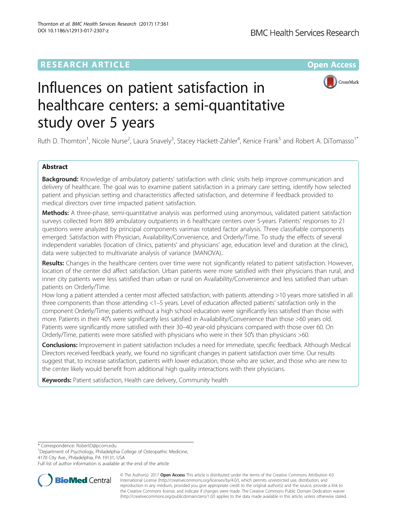# **RESEARCH ARTICLE Example 2014 12:30 The Company Access** (RESEARCH ARTICLE



# Influences on patient satisfaction in healthcare centers: a semi-quantitative study over 5 years

Ruth D. Thornton<sup>1</sup>, Nicole Nurse<sup>2</sup>, Laura Snavely<sup>3</sup>, Stacey Hackett-Zahler<sup>4</sup>, Kenice Frank<sup>5</sup> and Robert A. DiTomasso<sup>1\*</sup>

# Abstract

**Background:** Knowledge of ambulatory patients' satisfaction with clinic visits help improve communication and delivery of healthcare. The goal was to examine patient satisfaction in a primary care setting, identify how selected patient and physician setting and characteristics affected satisfaction, and determine if feedback provided to medical directors over time impacted patient satisfaction.

Methods: A three-phase, semi-quantitative analysis was performed using anonymous, validated patient satisfaction surveys collected from 889 ambulatory outpatients in 6 healthcare centers over 5-years. Patients' responses to 21 questions were analyzed by principal components varimax rotated factor analysis. Three classifiable components emerged: Satisfaction with Physician, Availability/Convenience, and Orderly/Time. To study the effects of several independent variables (location of clinics, patients' and physicians' age, education level and duration at the clinic), data were subjected to multivariate analysis of variance (MANOVA)..

Results: Changes in the healthcare centers over time were not significantly related to patient satisfaction. However, location of the center did affect satisfaction. Urban patients were more satisfied with their physicians than rural, and inner city patients were less satisfied than urban or rural on Availability/Convenience and less satisfied than urban patients on Orderly/Time.

How long a patient attended a center most affected satisfaction, with patients attending >10 years more satisfied in all three components than those attending <1–5 years. Level of education affected patients' satisfaction only in the component Orderly/Time; patients without a high school education were significantly less satisfied than those with more. Patients in their 40's were significantly less satisfied in Availability/Convenience than those >60 years old. Patients were significantly more satisfied with their 30–40 year-old physicians compared with those over 60. On Orderly/Time, patients were more satisfied with physicians who were in their 50′s than physicians >60.

Conclusions: Improvement in patient satisfaction includes a need for immediate, specific feedback. Although Medical Directors received feedback yearly, we found no significant changes in patient satisfaction over time. Our results suggest that, to increase satisfaction, patients with lower education, those who are sicker, and those who are new to the center likely would benefit from additional high quality interactions with their physicians.

Keywords: Patient satisfaction, Health care delivery, Community health

\* Correspondence: [RobertD@pcom.edu](mailto:RobertD@pcom.edu) <sup>1</sup>

<sup>1</sup>Department of Psychology, Philadelphia College of Osteopathic Medicine, 4170 City Ave., Philadelphia, PA 19131, USA

Full list of author information is available at the end of the article



© The Author(s). 2017 **Open Access** This article is distributed under the terms of the Creative Commons Attribution 4.0 International License [\(http://creativecommons.org/licenses/by/4.0/](http://creativecommons.org/licenses/by/4.0/)), which permits unrestricted use, distribution, and reproduction in any medium, provided you give appropriate credit to the original author(s) and the source, provide a link to the Creative Commons license, and indicate if changes were made. The Creative Commons Public Domain Dedication waiver [\(http://creativecommons.org/publicdomain/zero/1.0/](http://creativecommons.org/publicdomain/zero/1.0/)) applies to the data made available in this article, unless otherwise stated.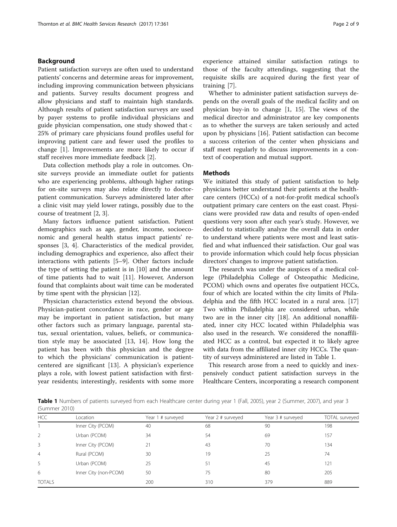## <span id="page-3-0"></span>Background

Patient satisfaction surveys are often used to understand patients' concerns and determine areas for improvement, including improving communication between physicians and patients. Survey results document progress and allow physicians and staff to maintain high standards. Although results of patient satisfaction surveys are used by payer systems to profile individual physicians and guide physician compensation, one study showed that < 25% of primary care physicians found profiles useful for improving patient care and fewer used the profiles to change [[1](#page-9-0)]. Improvements are more likely to occur if staff receives more immediate feedback [[2\]](#page-9-0).

Data collection methods play a role in outcomes. Onsite surveys provide an immediate outlet for patients who are experiencing problems, although higher ratings for on-site surveys may also relate directly to doctorpatient communication. Surveys administered later after a clinic visit may yield lower ratings, possibly due to the course of treatment [\[2](#page-9-0), [3](#page-9-0)].

Many factors influence patient satisfaction. Patient demographics such as age, gender, income, socioeconomic and general health status impact patients' responses [\[3, 4\]](#page-9-0). Characteristics of the medical provider, including demographics and experience, also affect their interactions with patients [\[5](#page-9-0)–[9\]](#page-10-0). Other factors include the type of setting the patient is in [[10\]](#page-10-0) and the amount of time patients had to wait [[11\]](#page-10-0). However, Anderson found that complaints about wait time can be moderated by time spent with the physician [\[12\]](#page-10-0).

Physician characteristics extend beyond the obvious. Physician-patient concordance in race, gender or age may be important in patient satisfaction, but many other factors such as primary language, parental status, sexual orientation, values, beliefs, or communication style may be associated [[13, 14](#page-10-0)]. How long the patient has been with this physician and the degree to which the physicians' communication is patientcentered are significant [\[13](#page-10-0)]. A physician's experience plays a role, with lowest patient satisfaction with firstyear residents; interestingly, residents with some more experience attained similar satisfaction ratings to those of the faculty attendings, suggesting that the requisite skills are acquired during the first year of training [[7\]](#page-10-0).

Whether to administer patient satisfaction surveys depends on the overall goals of the medical facility and on physician buy-in to change [[1](#page-9-0), [15\]](#page-10-0). The views of the medical director and administrator are key components as to whether the surveys are taken seriously and acted upon by physicians [\[16\]](#page-10-0). Patient satisfaction can become a success criterion of the center when physicians and staff meet regularly to discuss improvements in a context of cooperation and mutual support.

## **Methods**

We initiated this study of patient satisfaction to help physicians better understand their patients at the healthcare centers (HCCs) of a not-for-profit medical school's outpatient primary care centers on the east coast. Physicians were provided raw data and results of open-ended questions very soon after each year's study. However, we decided to statistically analyze the overall data in order to understand where patients were most and least satisfied and what influenced their satisfaction. Our goal was to provide information which could help focus physician directors' changes to improve patient satisfaction.

The research was under the auspices of a medical college (Philadelphia College of Osteopathic Medicine, PCOM) which owns and operates five outpatient HCCs, four of which are located within the city limits of Philadelphia and the fifth HCC located in a rural area. [[17](#page-10-0)] Two within Philadelphia are considered urban, while two are in the inner city [[18](#page-10-0)]. An additional nonaffiliated, inner city HCC located within Philadelphia was also used in the research. We considered the nonaffiliated HCC as a control, but expected it to likely agree with data from the affiliated inner city HCCs. The quantity of surveys administered are listed in Table 1.

This research arose from a need to quickly and inexpensively conduct patient satisfaction surveys in the Healthcare Centers, incorporating a research component

Table 1 Numbers of patients surveyed from each Healthcare center during year 1 (Fall, 2005), year 2 (Summer, 2007), and year 3 (Summer 2010)

| <b>HCC</b>     | Location              | Year 1 # surveyed | Year 2 # surveyed | Year 3 # surveyed | TOTAL surveyed |
|----------------|-----------------------|-------------------|-------------------|-------------------|----------------|
|                | Inner City (PCOM)     | 40                | 68                | 90                | 198            |
| 2              | Urban (PCOM)          | 34                | 54                | 69                | 157            |
| 3              | Inner City (PCOM)     | 21                | 43                | 70                | 134            |
| $\overline{4}$ | Rural (PCOM)          | 30                | 19                | 25                | 74             |
| 5              | Urban (PCOM)          | 25                | 51                | 45                | 121            |
| 6              | Inner City (non-PCOM) | 50                | 75                | 80                | 205            |
| <b>TOTALS</b>  |                       | 200               | 310               | 379               | 889            |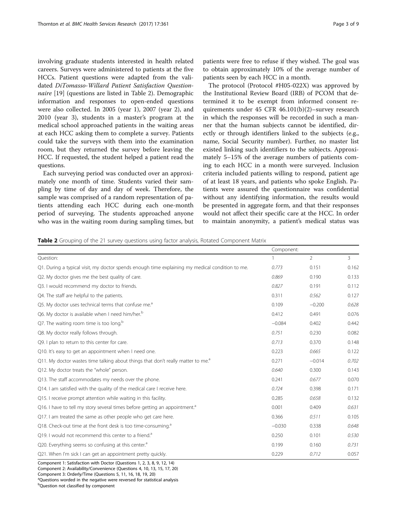<span id="page-4-0"></span>involving graduate students interested in health related careers. Surveys were administered to patients at the five HCCs. Patient questions were adapted from the validated DiTomasso-Willard Patient Satisfaction Question-naire [\[19\]](#page-10-0) (questions are listed in Table 2). Demographic information and responses to open-ended questions were also collected. In 2005 (year 1), 2007 (year 2), and 2010 (year 3), students in a master's program at the medical school approached patients in the waiting areas at each HCC asking them to complete a survey. Patients could take the surveys with them into the examination room, but they returned the survey before leaving the HCC. If requested, the student helped a patient read the questions.

Each surveying period was conducted over an approximately one month of time. Students varied their sampling by time of day and day of week. Therefore, the sample was comprised of a random representation of patients attending each HCC during each one-month period of surveying. The students approached anyone who was in the waiting room during sampling times, but

The protocol (Protocol #H05-022X) was approved by the Institutional Review Board (IRB) of PCOM that determined it to be exempt from informed consent requirements under 45 CFR 46.101(b)(2)–survey research in which the responses will be recorded in such a manner that the human subjects cannot be identified, directly or through identifiers linked to the subjects (e.g., name, Social Security number). Further, no master list existed linking such identifiers to the subjects. Approximately 5–15% of the average numbers of patients coming to each HCC in a month were surveyed. Inclusion criteria included patients willing to respond, patient age of at least 18 years, and patients who spoke English. Patients were assured the questionnaire was confidential without any identifying information, the results would be presented in aggregate form, and that their responses would not affect their specific care at the HCC. In order to maintain anonymity, a patient's medical status was

Table 2 Grouping of the 21 survey questions using factor analysis, Rotated Component Matrix

|                                                                                                 | Component: |                |       |
|-------------------------------------------------------------------------------------------------|------------|----------------|-------|
| Question:                                                                                       |            | $\overline{2}$ | 3     |
| Q1. During a typical visit, my doctor spends enough time explaining my medical condition to me. | 0.773      | 0.151          | 0.162 |
| Q2. My doctor gives me the best quality of care.                                                | 0.869      | 0.190          | 0.133 |
| Q3. I would recommend my doctor to friends.                                                     | 0.827      | 0.191          | 0.112 |
| Q4. The staff are helpful to the patients.                                                      | 0.311      | 0.562          | 0.127 |
| Q5. My doctor uses technical terms that confuse me. <sup>a</sup>                                | 0.109      | $-0.200$       | 0.628 |
| Q6. My doctor is available when I need him/her. <sup>b</sup>                                    |            | 0.491          | 0.076 |
| Q7. The waiting room time is too long. $b$                                                      | $-0.084$   | 0.402          | 0.442 |
| Q8. My doctor really follows through.                                                           | 0.751      | 0.230          | 0.082 |
| Q9. I plan to return to this center for care.                                                   | 0.713      | 0.370          | 0.148 |
| Q10. It's easy to get an appointment when I need one.                                           | 0.223      | 0.665          | 0.122 |
| Q11. My doctor wastes time talking about things that don't really matter to me. <sup>a</sup>    | 0.271      | $-0.014$       | 0.702 |
| Q12. My doctor treats the "whole" person.                                                       | 0.640      | 0.300          | 0.143 |
| Q13. The staff accommodates my needs over the phone.                                            | 0.241      | 0.677          | 0.070 |
| Q14. I am satisfied with the quality of the medical care I receive here.                        | 0.724      | 0.398          | 0.171 |
| Q15. I receive prompt attention while waiting in this facility.                                 | 0.285      | 0.658          | 0.132 |
| Q16. I have to tell my story several times before getting an appointment. <sup>a</sup>          | 0.001      | 0.409          | 0.631 |
| Q17. I am treated the same as other people who get care here.                                   | 0.366      | 0.511          | 0.105 |
| Q18. Check-out time at the front desk is too time-consuming. <sup>a</sup>                       | $-0.030$   | 0.338          | 0.648 |
| 019. I would not recommend this center to a friend. <sup>a</sup>                                | 0.250      | 0.101          | 0.530 |
| Q20. Everything seems so confusing at this center. <sup>a</sup>                                 | 0.199      | 0.160          | 0.731 |
| Q21. When I'm sick I can get an appointment pretty quickly.                                     | 0.229      | 0.712          | 0.057 |
| Component 1: Satisfaction with Doctor (Questions 1, 2, 3, 8, 9, 12, 14)                         |            |                |       |

Component 2: Availability/Convenience (Questions 4, 10, 13, 15, 17, 20)

Component 3: Orderly/Time (Questions 5, 11, 16, 18, 19, 20)

<sup>a</sup>Questions worded in the negative were reversed for statistical analysis

<sup>b</sup>Question not classified by component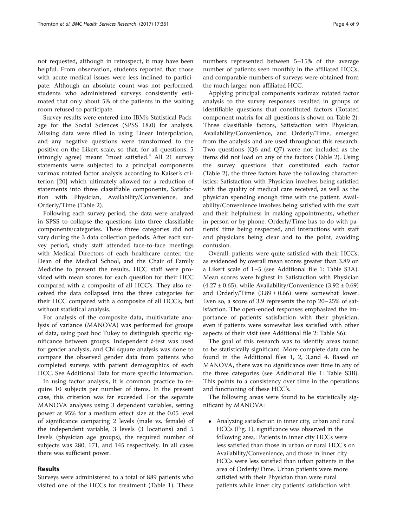not requested, although in retrospect, it may have been helpful. From observation, students reported that those with acute medical issues were less inclined to participate. Although an absolute count was not performed, students who administered surveys consistently estimated that only about 5% of the patients in the waiting room refused to participate.

Survey results were entered into IBM's Statistical Package for the Social Sciences (SPSS 18.0) for analysis. Missing data were filled in using Linear Interpolation, and any negative questions were transformed to the positive on the Likert scale, so that, for all questions, 5 (strongly agree) meant "most satisfied." All 21 survey statements were subjected to a principal components varimax rotated factor analysis according to Kaiser's criterion [\[20](#page-10-0)] which ultimately allowed for a reduction of statements into three classifiable components, Satisfaction with Physician, Availability/Convenience, and Orderly/Time (Table [2\)](#page-4-0).

Following each survey period, the data were analyzed in SPSS to collapse the questions into three classifiable components/categories. These three categories did not vary during the 3 data collection periods. After each survey period, study staff attended face-to-face meetings with Medical Directors of each healthcare center, the Dean of the Medical School, and the Chair of Family Medicine to present the results. HCC staff were provided with mean scores for each question for their HCC compared with a composite of all HCC's. They also received the data collapsed into the three categories for their HCC compared with a composite of all HCC's, but without statistical analysis.

For analysis of the composite data, multivariate analysis of variance (MANOVA) was performed for groups of data, using post hoc Tukey to distinguish specific significance between groups. Independent t-test was used for gender analysis, and Chi square analysis was done to compare the observed gender data from patients who completed surveys with patient demographics of each HCC. See Additional Data for more specific information.

In using factor analysis, it is common practice to require 10 subjects per number of items. In the present case, this criterion was far exceeded. For the separate MANOVA analyses using 3 dependent variables, setting power at 95% for a medium effect size at the 0.05 level of significance comparing 2 levels (male vs. female) of the independent variable, 3 levels (3 locations) and 5 levels (physician age groups), the required number of subjects was 280, 171, and 145 respectively. In all cases there was sufficient power.

## Results

Surveys were administered to a total of 889 patients who visited one of the HCCs for treatment (Table [1\)](#page-3-0). These numbers represented between 5–15% of the average number of patients seen monthly in the affiliated HCCs, and comparable numbers of surveys were obtained from the much larger, non-affiliated HCC.

Applying principal components varimax rotated factor analysis to the survey responses resulted in groups of identifiable questions that constituted factors (Rotated component matrix for all questions is shown on Table [2](#page-4-0)). Three classifiable factors, Satisfaction with Physician, Availability/Convenience, and Orderly/Time, emerged from the analysis and are used throughout this research. Two questions (Q6 and Q7) were not included as the items did not load on any of the factors (Table [2](#page-4-0)). Using the survey questions that constituted each factor (Table [2](#page-4-0)), the three factors have the following characteristics: Satisfaction with Physician involves being satisfied with the quality of medical care received, as well as the physician spending enough time with the patient. Availability/Convenience involves being satisfied with the staff and their helpfulness in making appointments, whether in person or by phone. Orderly/Time has to do with patients' time being respected, and interactions with staff and physicians being clear and to the point, avoiding confusion.

Overall, patients were quite satisfied with their HCCs, as evidenced by overall mean scores greater than 3.89 on a Likert scale of 1–5 (see Additional file [1](#page-9-0): Table S3A). Mean scores were highest in Satisfaction with Physician  $(4.27 \pm 0.65)$ , while Availability/Convenience  $(3.92 \pm 0.69)$ and Orderly/Time  $(3.89 \pm 0.66)$  were somewhat lower. Even so, a score of 3.9 represents the top 20–25% of satisfaction. The open-ended responses emphasized the importance of patients' satisfaction with their physician, even if patients were somewhat less satisfied with other aspects of their visit (see Additional file [2:](#page-9-0) Table S6).

The goal of this research was to identify areas found to be statistically significant. More complete data can be found in the Additional files [1, 2](#page-9-0), [3](#page-9-0),and [4.](#page-9-0) Based on MANOVA, there was no significance over time in any of the three categories (see Additional file [1:](#page-9-0) Table S3B). This points to a consistency over time in the operations and functioning of these HCC's.

The following areas were found to be statistically significant by MANOVA:

 Analyzing satisfaction in inner city, urban and rural HCCs (Fig. [1](#page-6-0)), significance was observed in the following area.: Patients in inner city HCCs were less satisfied than those in urban or rural HCC's on Availability/Convenience, and those in inner city HCCs were less satisfied than urban patients in the area of Orderly/Time. Urban patients were more satisfied with their Physician than were rural patients while inner city patients' satisfaction with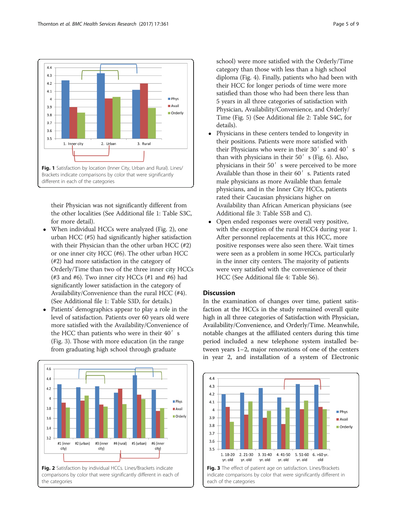

<span id="page-6-0"></span>

their Physician was not significantly different from the other localities (See Additional file [1:](#page-9-0) Table S3C, for more detail).

- When individual HCCs were analyzed (Fig. 2), one urban HCC (#5) had significantly higher satisfaction with their Physician than the other urban HCC (#2) or one inner city HCC (#6). The other urban HCC (#2) had more satisfaction in the category of Orderly/Time than two of the three inner city HCCs (#3 and #6). Two inner city HCCs (#1 and #6) had significantly lower satisfaction in the category of Availability/Convenience than the rural HCC (#4). (See Additional file [1](#page-9-0): Table S3D, for details.)
- Patients' demographics appear to play a role in the level of satisfaction. Patients over 60 years old were more satisfied with the Availability/Convenience of the HCC than patients who were in their 40's (Fig. 3). Those with more education (in the range from graduating high school through graduate



comparisons by color that were significantly different in each of the categories

school) were more satisfied with the Orderly/Time category than those with less than a high school diploma (Fig. [4](#page-7-0)). Finally, patients who had been with their HCC for longer periods of time were more satisfied than those who had been there less than 5 years in all three categories of satisfaction with Physician, Availability/Convenience, and Orderly/ Time (Fig. [5](#page-7-0)) (See Additional file [2:](#page-9-0) Table S4C, for details).

- Physicians in these centers tended to longevity in their positions. Patients were more satisfied with their Physicians who were in their  $30'$  s and  $40'$  s than with physicians in their  $50'$  s (Fig. [6](#page-7-0)). Also, physicians in their 50' s were perceived to be more Available than those in their 60's. Patients rated male physicians as more Available than female physicians, and in the Inner City HCCs, patients rated their Caucasian physicians higher on Availability than African American physicians (see Additional file [3:](#page-9-0) Table S5B and C).
- Open ended responses were overall very positive, with the exception of the rural HCC4 during year 1. After personnel replacements at this HCC, more positive responses were also seen there. Wait times were seen as a problem in some HCCs, particularly in the inner city centers. The majority of patients were very satisfied with the convenience of their HCC (See Additional file [4:](#page-9-0) Table S6).

### **Discussion**

In the examination of changes over time, patient satisfaction at the HCCs in the study remained overall quite high in all three categories of Satisfaction with Physician, Availability/Convenience, and Orderly/Time. Meanwhile, notable changes at the affiliated centers during this time period included a new telephone system installed between years 1–2, major renovations of one of the centers in year 2, and installation of a system of Electronic



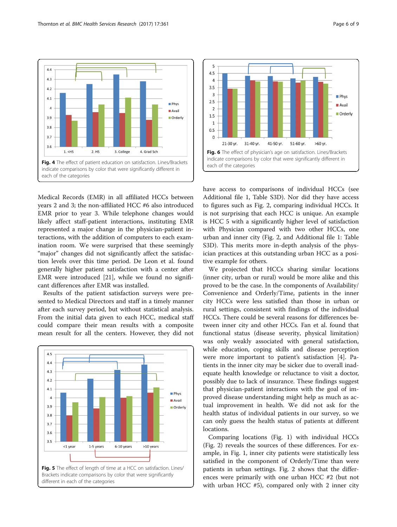<span id="page-7-0"></span> $\overline{44}$ 

 $4.3$ 

 $4.2$ 

 $4.1$ 

 $\overline{a}$ 

 $3.9$ 

 $3.8$ 

 $3.7$ 

 $3.6$ 



 $1. <$ HS  $2. H<sub>S</sub>$ 3. College 4. Grad Sch Fig. 4 The effect of patient education on satisfaction. Lines/Brackets each of the categories indicate comparisons by color that were significantly different in each of the categories

Medical Records (EMR) in all affiliated HCCs between years 2 and 3; the non-affiliated HCC #6 also introduced EMR prior to year 3. While telephone changes would likely affect staff-patient interactions, instituting EMR represented a major change in the physician-patient interactions, with the addition of computers to each examination room. We were surprised that these seemingly "major" changes did not significantly affect the satisfaction levels over this time period. De Leon et al. found generally higher patient satisfaction with a center after EMR were introduced [[21\]](#page-10-0), while we found no significant differences after EMR was installed.

Results of the patient satisfaction surveys were presented to Medical Directors and staff in a timely manner after each survey period, but without statistical analysis. From the initial data given to each HCC, medical staff could compare their mean results with a composite mean result for all the centers. However, they did not





have access to comparisons of individual HCCs (see Additional file [1](#page-9-0), Table S3D). Nor did they have access to figures such as Fig. [2,](#page-6-0) comparing individual HCCs. It is not surprising that each HCC is unique. An example is HCC 5 with a significantly higher level of satisfaction with Physician compared with two other HCCs, one urban and inner city (Fig. [2,](#page-6-0) and Additional file [1:](#page-9-0) Table S3D). This merits more in-depth analysis of the physician practices at this outstanding urban HCC as a positive example for others.

We projected that HCCs sharing similar locations (inner city, urban or rural) would be more alike and this proved to be the case. In the components of Availability/ Convenience and Orderly/Time, patients in the inner city HCCs were less satisfied than those in urban or rural settings, consistent with findings of the individual HCCs. There could be several reasons for differences between inner city and other HCCs. Fan et al. found that functional status (disease severity, physical limitation) was only weakly associated with general satisfaction, while education, coping skills and disease perception were more important to patient's satisfaction [\[4](#page-9-0)]. Patients in the inner city may be sicker due to overall inadequate health knowledge or reluctance to visit a doctor, possibly due to lack of insurance. These findings suggest that physician-patient interactions with the goal of improved disease understanding might help as much as actual improvement in health. We did not ask for the health status of individual patients in our survey, so we can only guess the health status of patients at different locations.

Comparing locations (Fig. [1](#page-6-0)) with individual HCCs (Fig. [2](#page-6-0)) reveals the sources of these differences. For example, in Fig. [1](#page-6-0), inner city patients were statistically less satisfied in the component of Orderly/Time than were patients in urban settings. Fig. [2](#page-6-0) shows that the differences were primarily with one urban HCC #2 (but not with urban HCC #5), compared only with 2 inner city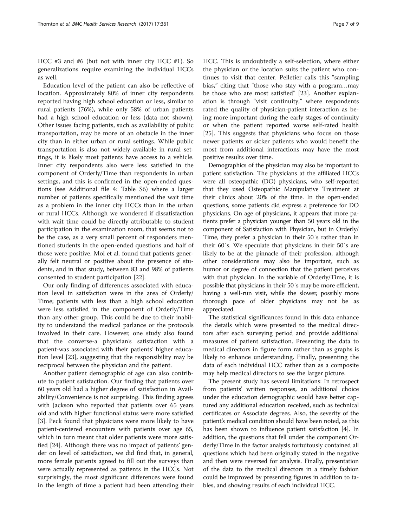HCC #3 and #6 (but not with inner city HCC #1). So generalizations require examining the individual HCCs as well.

Education level of the patient can also be reflective of location. Approximately 80% of inner city respondents reported having high school education or less, similar to rural patients (76%), while only 58% of urban patients had a high school education or less (data not shown). Other issues facing patients, such as availability of public transportation, may be more of an obstacle in the inner city than in either urban or rural settings. While public transportation is also not widely available in rural settings, it is likely most patients have access to a vehicle. Inner city respondents also were less satisfied in the component of Orderly/Time than respondents in urban settings, and this is confirmed in the open-ended questions (see Additional file [4](#page-9-0): Table S6) where a larger number of patients specifically mentioned the wait time as a problem in the inner city HCCs than in the urban or rural HCCs. Although we wondered if dissatisfaction with wait time could be directly attributable to student participation in the examination room, that seems not to be the case, as a very small percent of responders mentioned students in the open-ended questions and half of those were positive. Mol et al. found that patients generally felt neutral or positive about the presence of students, and in that study, between 83 and 98% of patients consented to student participation [[22](#page-10-0)].

Our only finding of differences associated with education level in satisfaction were in the area of Orderly/ Time; patients with less than a high school education were less satisfied in the component of Orderly/Time than any other group. This could be due to their inability to understand the medical parlance or the protocols involved in their care. However, one study also found that the converse-a physician's satisfaction with a patient-was associated with their patients' higher education level [[23\]](#page-10-0), suggesting that the responsibility may be reciprocal between the physician and the patient.

Another patient demographic of age can also contribute to patient satisfaction. Our finding that patients over 60 years old had a higher degree of satisfaction in Availability/Convenience is not surprising. This finding agrees with Jackson who reported that patients over 65 years old and with higher functional status were more satisfied [[3\]](#page-9-0). Peck found that physicians were more likely to have patient-centered encounters with patients over age 65, which in turn meant that older patients were more satisfied [[24\]](#page-10-0). Although there was no impact of patients' gender on level of satisfaction, we did find that, in general, more female patients agreed to fill out the surveys than were actually represented as patients in the HCCs. Not surprisingly, the most significant differences were found in the length of time a patient had been attending their HCC. This is undoubtedly a self-selection, where either the physician or the location suits the patient who continues to visit that center. Pelletier calls this "sampling bias," citing that "those who stay with a program…may be those who are most satisfied" [[23](#page-10-0)]. Another explanation is through "visit continuity," where respondents rated the quality of physician-patient interaction as being more important during the early stages of continuity or when the patient reported worse self-rated health [[25\]](#page-10-0). This suggests that physicians who focus on those newer patients or sicker patients who would benefit the most from additional interactions may have the most positive results over time.

Demographics of the physician may also be important to patient satisfaction. The physicians at the affiliated HCCs were all osteopathic (DO) physicians, who self-reported that they used Osteopathic Manipulative Treatment at their clinics about 20% of the time. In the open-ended questions, some patients did express a preference for DO physicians. On age of physicians, it appears that more patients prefer a physician younger than 50 years old in the component of Satisfaction with Physician, but in Orderly/ Time, they prefer a physician in their 50′s rather than in their 60′s. We speculate that physicians in their 50′s are likely to be at the pinnacle of their profession, although other considerations may also be important, such as humor or degree of connection that the patient perceives with that physician. In the variable of Orderly/Time, it is possible that physicians in their 50′s may be more efficient, having a well-run visit, while the slower, possibly more thorough pace of older physicians may not be as appreciated.

The statistical significances found in this data enhance the details which were presented to the medical directors after each surveying period and provide additional measures of patient satisfaction. Presenting the data to medical directors in figure form rather than as graphs is likely to enhance understanding. Finally, presenting the data of each individual HCC rather than as a composite may help medical directors to see the larger picture.

The present study has several limitations: In retrospect from patients' written responses, an additional choice under the education demographic would have better captured any additional education received, such as technical certificates or Associate degrees. Also, the severity of the patient's medical condition should have been noted, as this has been shown to influence patient satisfaction [\[4](#page-9-0)]. In addition, the questions that fell under the component Orderly/Time in the factor analysis fortuitously contained all questions which had been originally stated in the negative and then were reversed for analysis. Finally, presentation of the data to the medical directors in a timely fashion could be improved by presenting figures in addition to tables, and showing results of each individual HCC.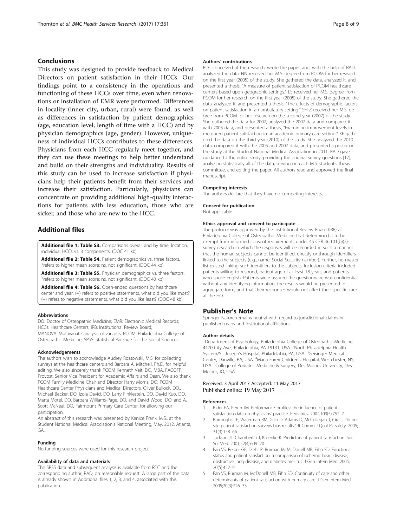## <span id="page-9-0"></span>Conclusions

This study was designed to provide feedback to Medical Directors on patient satisfaction in their HCCs. Our findings point to a consistency in the operations and functioning of these HCCs over time, even when renovations or installation of EMR were performed. Differences in locality (inner city, urban, rural) were found, as well as differences in satisfaction by patient demographics (age, education level, length of time with a HCC) and by physician demographics (age, gender). However, uniqueness of individual HCCs contributes to these differences. Physicians from each HCC regularly meet together, and they can use these meetings to help better understand and build on their strengths and individuality. Results of this study can be used to increase satisfaction if physicians help their patients benefit from their services and increase their satisfaction. Particularly, physicians can concentrate on providing additional high-quality interactions for patients with less education, those who are sicker, and those who are new to the HCC.

## Additional files

[Additional file 1: Table S3.](dx.doi.org/10.1186/s12913-017-2307-z) Comparisons overall and by time, location, individual HCCs vs. 3 components. (DOC 41 kb)

[Additional file 2: Table S4.](dx.doi.org/10.1186/s12913-017-2307-z) Patient demographics vs. three factors. \*refers to higher mean score; ns, not significant. (DOC 44 kb)

[Additional file 3: Table S5.](dx.doi.org/10.1186/s12913-017-2307-z) Physician demographics vs. three factors. \*refers to higher mean score; ns, not significant. (DOC 40 kb)

[Additional file 4: Table S6.](dx.doi.org/10.1186/s12913-017-2307-z) Open-ended questions by healthcare center and year. (+) refers to positive statements, what did you like most? (−) refers to negative statements, what did you like least? (DOC 48 kb)

#### Abbreviations

DO: Doctor of Osteopathic Medicine; EMR: Electronic Medical Records; HCCs: Healthcare Centers; IRB: Institutional Review Board; MANOVA: Multivariate analysis of variants; PCOM: Philadelphia College of Osteopathic Medicine; SPSS: Statistical Package for the Social Sciences

#### Acknowledgements

The authors wish to acknowledge Audrey Rossowski, M.S. for collecting surveys at the healthcare centers and Barbara A. Mitchell, Ph.D. for helpful editing. We also sincerely thank PCOM Kenneth Veit, DO, MBA, FACOFP, Provost, Senior Vice President for Academic Affairs and Dean. We also thank PCOM Family Medicine Chair and Director Harry Morris, DO; PCOM Healthcare Center Physicians and Medical Directors, Oliver Bullock, DO., Michael Becker, DO, Izola David, DO, Larry Finklestein, DO, David Kuo, DO, Marta Motel, DO, Barbara Williams-Page, DO, and David Wood, DO; and A. Scott McNeal, DO, Fairmount Primary Care Center, for allowing our participation.

An abstract of this research was presented by Kenice Frank, M.S., at the Student National Medical Association's National Meeting, May, 2012, Atlanta, GA.

#### Funding

No funding sources were used for this research project.

#### Availability of data and materials

The SPSS data and subsequent analysis is available from RDT and the corresponding author, RAD, on reasonable request. A large part of the data is already shown in Additional files 1, 2, 3, and 4, associated with this publication.

#### Authors' contributions

RDT conceived of the research, wrote the paper, and, with the help of RAD, analyzed the data. NN received her M.S. degree from PCOM for her research on the first year (2005) of the study. She gathered the data, analyzed it, and presented a thesis, "A measure of patient satisfaction of PCOM healthcare centers based upon geographic settings." LS received her M.S. degree from PCOM for her research on the first year (2005) of the study. She gathered the data, analyzed it, and presented a thesis, "The effects of demographic factors on patient satisfaction in an ambulatory setting." SH-Z received her M.S. degree from PCOM for her research on the second year (2007) of the study. She gathered the data for 2007, analyzed the 2007 data and compared it with 2005 data, and presented a thesis, "Examining improvement levels in measured patient satisfaction in an academic primary care setting." KF gathered the data on the third year (2010) of the study. She analyzed the 2010 data, compared it with the 2005 and 2007 data, and presented a poster on the study at the Student National Medical Association in 2011. RAD gave guidance to the entire study, providing the original survey questions [[17\]](#page-10-0), analyzing statistically all of the data, serving on each M.S. student's thesis committee, and editing the paper. All authors read and approved the final manuscript.

#### Competing interests

The authors declare that they have no competing interests.

#### Consent for publication

Not applicable.

#### Ethics approval and consent to participate

The protocol was approved by the Institutional Review Board (IRB) at Philadelphia College of Osteopathic Medicine that determined it to be exempt from informed consent requirements under 45 CFR 46.101(b)(2) survey research in which the responses will be recorded in such a manner that the human subjects cannot be identified, directly or through identifiers linked to the subjects (e.g., name, Social Security number). Further, no master list existed linking such identifiers to the subjects. Inclusion criteria included patients willing to respond, patient age of at least 18 years, and patients who spoke English. Patients were assured the questionnaire was confidential without any identifying information, the results would be presented in aggregate form, and that their responses would not affect their specific care at the HCC.

#### Publisher's Note

Springer Nature remains neutral with regard to jurisdictional claims in published maps and institutional affiliations.

#### Author details

<sup>1</sup>Department of Psychology, Philadelphia College of Osteopathic Medicine 4170 City Ave., Philadelphia, PA 19131, USA. <sup>2</sup>North Philadelphia Health System/St. Joseph's Hospital, Philadelphia, PA, USA. <sup>3</sup>Geisinger Medical Center, Danville, PA, USA. <sup>4</sup>Maria Fareri Children's Hospital, Westchester, NY USA. <sup>5</sup>College of Podiatric Medicine & Surgery, Des Moines University, Des Moines, IO, USA.

### Received: 3 April 2017 Accepted: 11 May 2017 Published online: 19 May 2017

#### References

- 1. Rider EA, Perrin JM. Performance profiles: the influence of patient satisfaction data on physicians' practice. Pediatrics. 2002;109(5):752–7.
- 2. Burroughs TE, Waterman BM, Gilin D, Adams D, McCollegan J, Cira J. Do onsite patient satisfaction surveys bias results? Jt Comm J Qual Pt Safety. 2005; 31(3):158–66.
- 3. Jackson JL, Chamberlin J, Kroenke K. Predictors of patient satisfaction. Soc Sci Med. 2001;52(4):609–20.
- 4. Fan VS, Reiber GE, Diehr P, Burman M, McDonell MB, Fihn SD. Functional status and patient satisfaction: a comparison of ischemic heart disease, obstructive lung disease, and diabetes mellitus. J Gen Intern Med. 2005; 20(5):452–9.
- 5. Fan VS, Burman M, McDonell MB, Fihn SD. Continuity of care and other determinants of patient satisfaction with primary care. J Gen Intern Med. 2005;20(3):226–33.